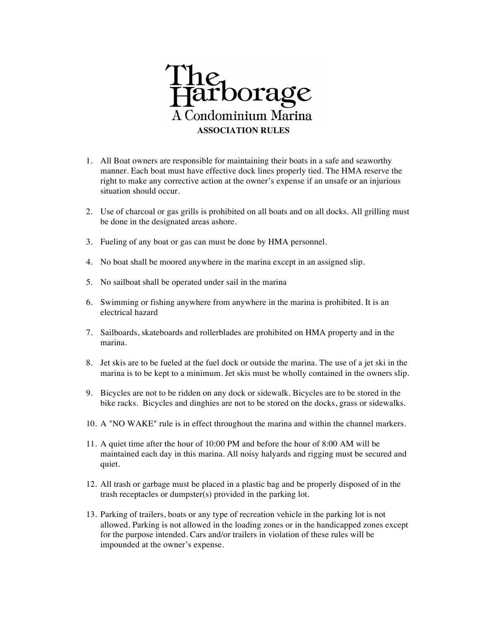

- 1. All Boat owners are responsible for maintaining their boats in a safe and seaworthy manner. Each boat must have effective dock lines properly tied. The HMA reserve the right to make any corrective action at the owner's expense if an unsafe or an injurious situation should occur.
- 2. Use of charcoal or gas grills is prohibited on all boats and on all docks. All grilling must be done in the designated areas ashore.
- 3. Fueling of any boat or gas can must be done by HMA personnel.
- 4. No boat shall be moored anywhere in the marina except in an assigned slip.
- 5. No sailboat shall be operated under sail in the marina
- 6. Swimming or fishing anywhere from anywhere in the marina is prohibited. It is an electrical hazard
- 7. Sailboards, skateboards and rollerblades are prohibited on HMA property and in the marina.
- 8. Jet skis are to be fueled at the fuel dock or outside the marina. The use of a jet ski in the marina is to be kept to a minimum. Jet skis must be wholly contained in the owners slip.
- 9. Bicycles are not to be ridden on any dock or sidewalk. Bicycles are to be stored in the bike racks. Bicycles and dinghies are not to be stored on the docks, grass or sidewalks.
- 10. A "NO WAKE" rule is in effect throughout the marina and within the channel markers.
- 11. A quiet time after the hour of 10:00 PM and before the hour of 8:00 AM will be maintained each day in this marina. All noisy halyards and rigging must be secured and quiet.
- 12. All trash or garbage must be placed in a plastic bag and be properly disposed of in the trash receptacles or dumpster(s) provided in the parking lot.
- 13. Parking of trailers, boats or any type of recreation vehicle in the parking lot is not allowed. Parking is not allowed in the loading zones or in the handicapped zones except for the purpose intended. Cars and/or trailers in violation of these rules will be impounded at the owner's expense.